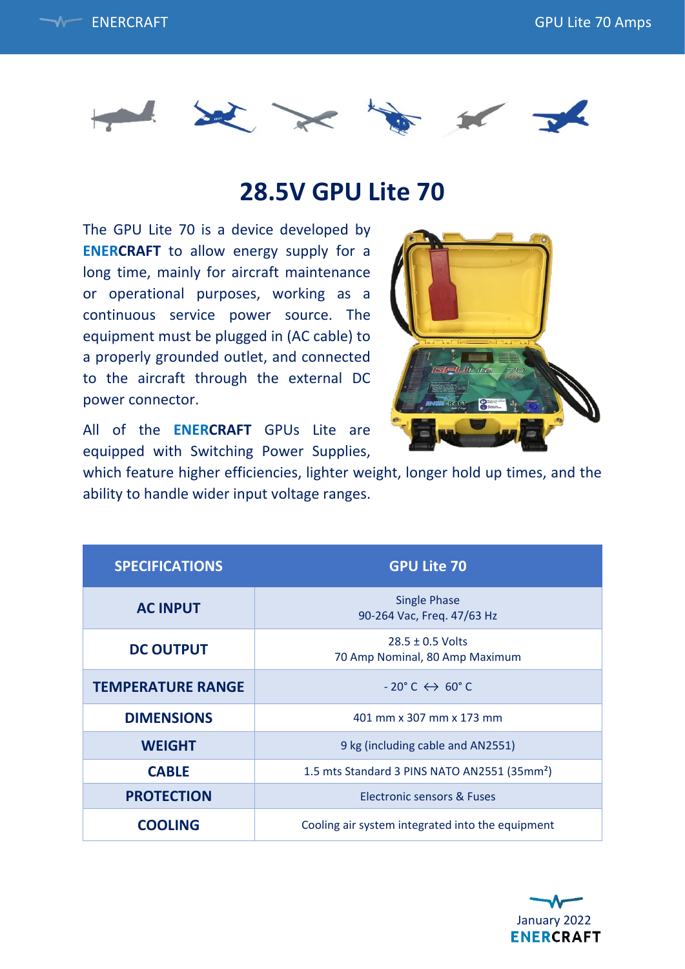



## **28.5V GPU Lite 70**

The GPU Lite 70 is a device developed by **ENERCRAFT** to allow energy supply for a long time, mainly for aircraft maintenance or operational purposes, working as a continuous service power source. The equipment must be plugged in (AC cable) to a properly grounded outlet, and connected to the aircraft through the external DC power connector.



All of the **ENERCRAFT** GPUs Lite are equipped with Switching Power Supplies,

which feature higher efficiencies, lighter weight, longer hold up times, and the ability to handle wider input voltage ranges.

| <b>SPECIFICATIONS</b>    | <b>GPU Lite 70</b>                                       |
|--------------------------|----------------------------------------------------------|
| <b>AC INPUT</b>          | <b>Single Phase</b><br>90-264 Vac, Freq. 47/63 Hz        |
| <b>DC OUTPUT</b>         | $28.5 \pm 0.5$ Volts<br>70 Amp Nominal, 80 Amp Maximum   |
| <b>TEMPERATURE RANGE</b> | $-20^{\circ}$ C $\leftrightarrow$ 60 $^{\circ}$ C        |
| <b>DIMENSIONS</b>        | 401 mm x 307 mm x 173 mm                                 |
| <b>WEIGHT</b>            | 9 kg (including cable and AN2551)                        |
| <b>CABLE</b>             | 1.5 mts Standard 3 PINS NATO AN2551 (35mm <sup>2</sup> ) |
| <b>PROTECTION</b>        | Electronic sensors & Fuses                               |
| <b>COOLING</b>           | Cooling air system integrated into the equipment         |